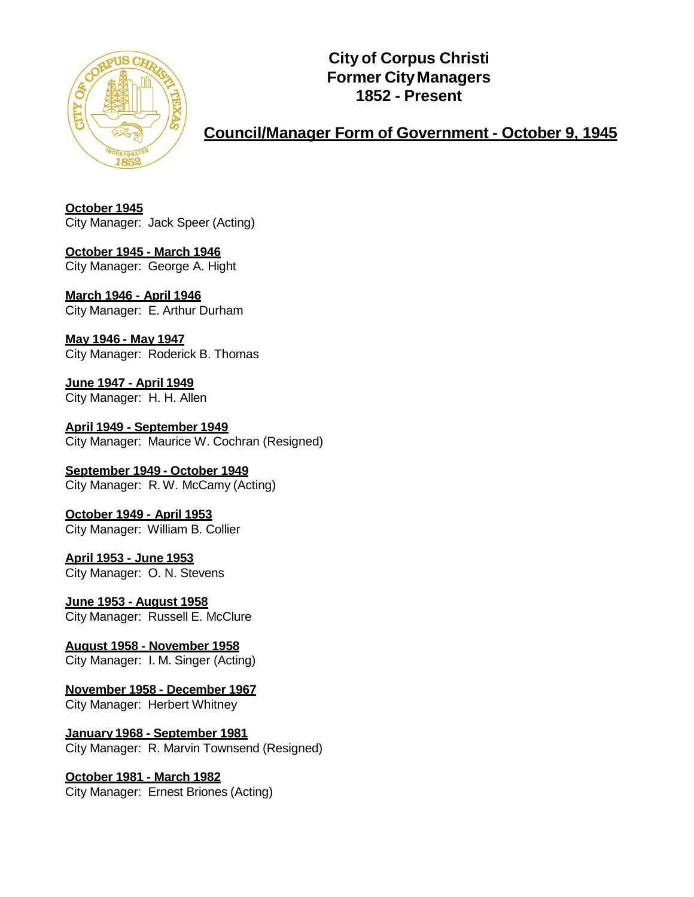

**City of Corpus Christi Former CityManagers 1852 - Present**

**Council/Manager Form of Government - October 9, 1945**

**October 1945** City Manager: Jack Speer (Acting)

**October 1945 - March 1946** City Manager: George A. Hight

**March 1946 - April 1946** City Manager: E. Arthur Durham

**May 1946 - May 1947** City Manager: Roderick B. Thomas

**June 1947 - April 1949** City Manager: H. H. Allen

**April 1949 - September 1949** City Manager: Maurice W. Cochran (Resigned)

**September 1949 - October 1949** City Manager: R. W. McCamy (Acting)

**October 1949 - April 1953** City Manager: William B. Collier

**April 1953 - June 1953** City Manager: O. N. Stevens

**June 1953 - August 1958** City Manager: Russell E. McClure

**August 1958 - November 1958** City Manager: I. M. Singer (Acting)

**November 1958 - December 1967**

City Manager: Herbert Whitney

**January 1968 - September 1981** City Manager: R. Marvin Townsend (Resigned)

**October 1981 - March 1982**

City Manager: Ernest Briones (Acting)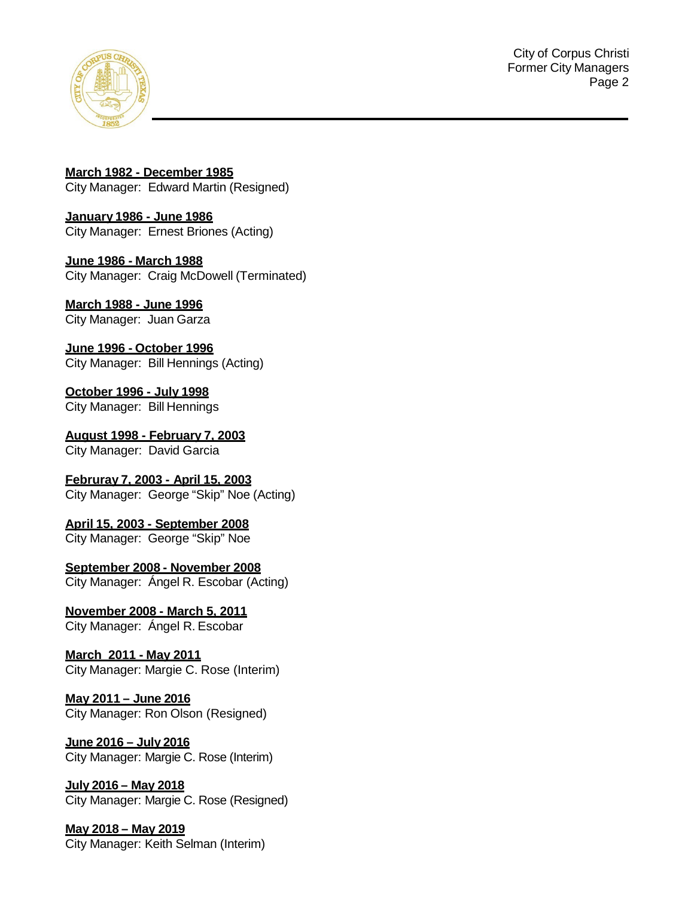

City of Corpus Christi Former City Managers Page 2

**March 1982 - December 1985** City Manager: Edward Martin (Resigned)

**January 1986 - June 1986** City Manager: Ernest Briones (Acting)

**June 1986 - March 1988** City Manager: Craig McDowell (Terminated)

**March 1988 - June 1996** City Manager: Juan Garza

**June 1996 - October 1996** City Manager: Bill Hennings (Acting)

**October 1996 - July 1998** City Manager: Bill Hennings

**August 1998 - February 7, 2003** City Manager: David Garcia

**Februray 7, 2003 - April 15, 2003** City Manager: George "Skip" Noe (Acting)

**April 15, 2003 - September 2008** City Manager: George "Skip" Noe

**September 2008 - November 2008** City Manager: Ángel R. Escobar (Acting)

**November 2008 - March 5, 2011** City Manager: Ángel R. Escobar

**March 2011 - May 2011** City Manager: Margie C. Rose (Interim)

**May 2011 – June 2016** City Manager: Ron Olson (Resigned)

**June 2016 – July 2016** City Manager: Margie C. Rose (Interim)

**July 2016 – May 2018** City Manager: Margie C. Rose (Resigned)

**May 2018 – May 2019** City Manager: Keith Selman (Interim)